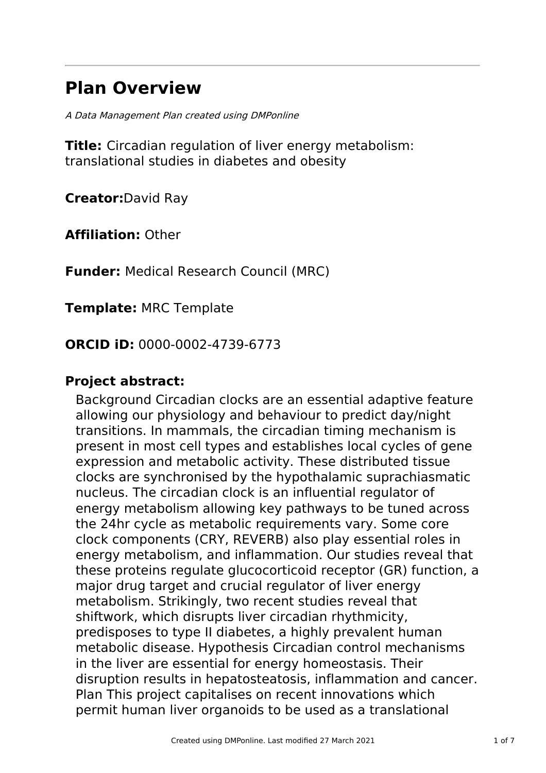# **Plan Overview**

A Data Management Plan created using DMPonline

**Title:** Circadian regulation of liver energy metabolism: translational studies in diabetes and obesity

**Creator:**David Ray

**Affiliation:** Other

**Funder:** Medical Research Council (MRC)

**Template:** MRC Template

**ORCID iD:** 0000-0002-4739-6773

### **Project abstract:**

Background Circadian clocks are an essential adaptive feature allowing our physiology and behaviour to predict day/night transitions. In mammals, the circadian timing mechanism is present in most cell types and establishes local cycles of gene expression and metabolic activity. These distributed tissue clocks are synchronised by the hypothalamic suprachiasmatic nucleus. The circadian clock is an influential regulator of energy metabolism allowing key pathways to be tuned across the 24hr cycle as metabolic requirements vary. Some core clock components (CRY, REVERB) also play essential roles in energy metabolism, and inflammation. Our studies reveal that these proteins regulate glucocorticoid receptor (GR) function, a major drug target and crucial regulator of liver energy metabolism. Strikingly, two recent studies reveal that shiftwork, which disrupts liver circadian rhythmicity, predisposes to type II diabetes, a highly prevalent human metabolic disease. Hypothesis Circadian control mechanisms in the liver are essential for energy homeostasis. Their disruption results in hepatosteatosis, inflammation and cancer. Plan This project capitalises on recent innovations which permit human liver organoids to be used as a translational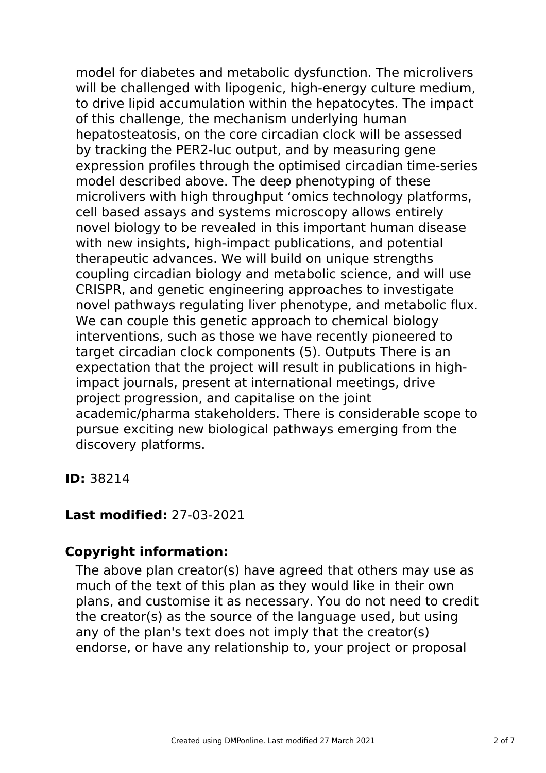model for diabetes and metabolic dysfunction. The microlivers will be challenged with lipogenic, high-energy culture medium, to drive lipid accumulation within the hepatocytes. The impact of this challenge, the mechanism underlying human hepatosteatosis, on the core circadian clock will be assessed by tracking the PER2-luc output, and by measuring gene expression profiles through the optimised circadian time-series model described above. The deep phenotyping of these microlivers with high throughput 'omics technology platforms, cell based assays and systems microscopy allows entirely novel biology to be revealed in this important human disease with new insights, high-impact publications, and potential therapeutic advances. We will build on unique strengths coupling circadian biology and metabolic science, and will use CRISPR, and genetic engineering approaches to investigate novel pathways regulating liver phenotype, and metabolic flux. We can couple this genetic approach to chemical biology interventions, such as those we have recently pioneered to target circadian clock components (5). Outputs There is an expectation that the project will result in publications in highimpact journals, present at international meetings, drive project progression, and capitalise on the joint academic/pharma stakeholders. There is considerable scope to pursue exciting new biological pathways emerging from the discovery platforms.

**ID:** 38214

### **Last modified:** 27-03-2021

### **Copyright information:**

The above plan creator(s) have agreed that others may use as much of the text of this plan as they would like in their own plans, and customise it as necessary. You do not need to credit the creator(s) as the source of the language used, but using any of the plan's text does not imply that the creator(s) endorse, or have any relationship to, your project or proposal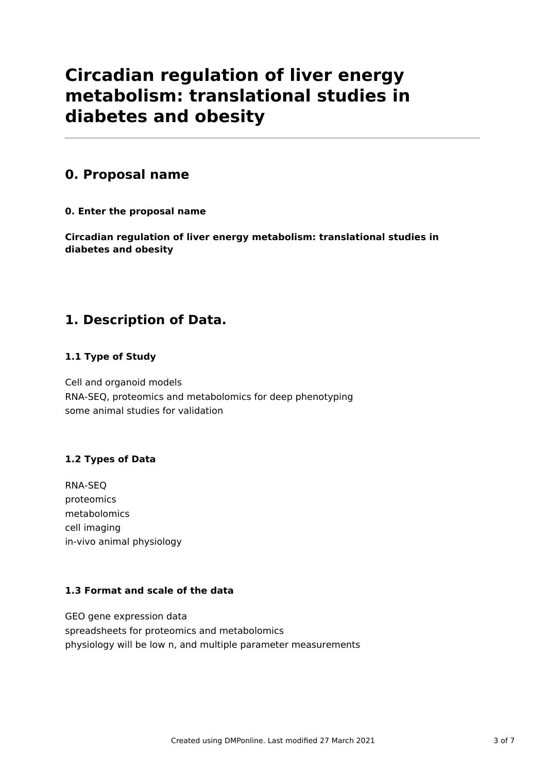## **Circadian regulation of liver energy metabolism: translational studies in diabetes and obesity**

### **0. Proposal name**

**0. Enter the proposal name**

**Circadian regulation of liver energy metabolism: translational studies in diabetes and obesity**

## **1. Description of Data.**

### **1.1 Type of Study**

Cell and organoid models RNA-SEQ, proteomics and metabolomics for deep phenotyping some animal studies for validation

### **1.2 Types of Data**

RNA-SEQ proteomics metabolomics cell imaging in-vivo animal physiology

### **1.3 Format and scale of the data**

GEO gene expression data spreadsheets for proteomics and metabolomics physiology will be low n, and multiple parameter measurements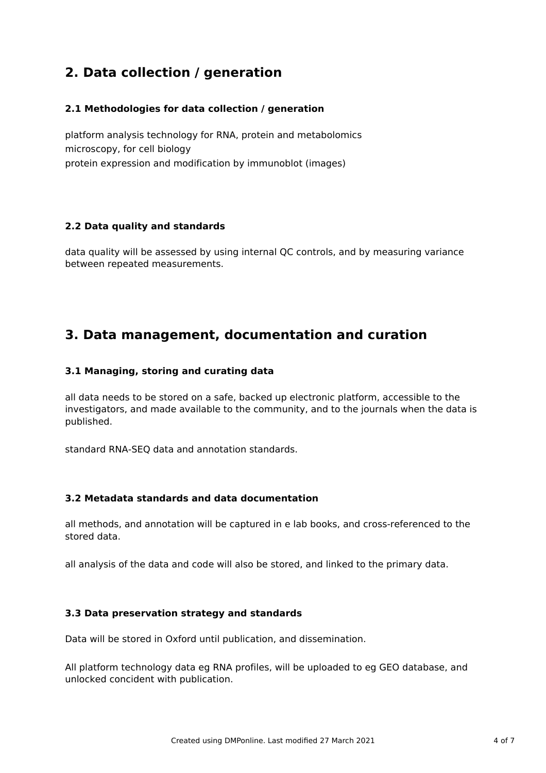## **2. Data collection / generation**

#### **2.1 Methodologies for data collection / generation**

platform analysis technology for RNA, protein and metabolomics microscopy, for cell biology protein expression and modification by immunoblot (images)

#### **2.2 Data quality and standards**

data quality will be assessed by using internal QC controls, and by measuring variance between repeated measurements.

### **3. Data management, documentation and curation**

#### **3.1 Managing, storing and curating data**

all data needs to be stored on a safe, backed up electronic platform, accessible to the investigators, and made available to the community, and to the journals when the data is published.

standard RNA-SEQ data and annotation standards.

#### **3.2 Metadata standards and data documentation**

all methods, and annotation will be captured in e lab books, and cross-referenced to the stored data.

all analysis of the data and code will also be stored, and linked to the primary data.

#### **3.3 Data preservation strategy and standards**

Data will be stored in Oxford until publication, and dissemination.

All platform technology data eg RNA profiles, will be uploaded to eg GEO database, and unlocked concident with publication.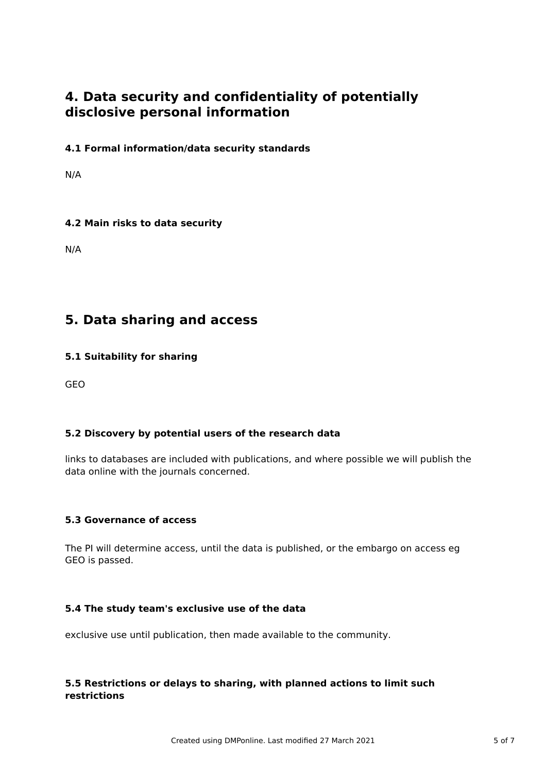### **4. Data security and confidentiality of potentially disclosive personal information**

### **4.1 Formal information/data security standards**

N/A

### **4.2 Main risks to data security**

N/A

### **5. Data sharing and access**

#### **5.1 Suitability for sharing**

GEO

### **5.2 Discovery by potential users of the research data**

links to databases are included with publications, and where possible we will publish the data online with the journals concerned.

#### **5.3 Governance of access**

The PI will determine access, until the data is published, or the embargo on access eg GEO is passed.

#### **5.4 The study team's exclusive use of the data**

exclusive use until publication, then made available to the community.

#### **5.5 Restrictions or delays to sharing, with planned actions to limit such restrictions**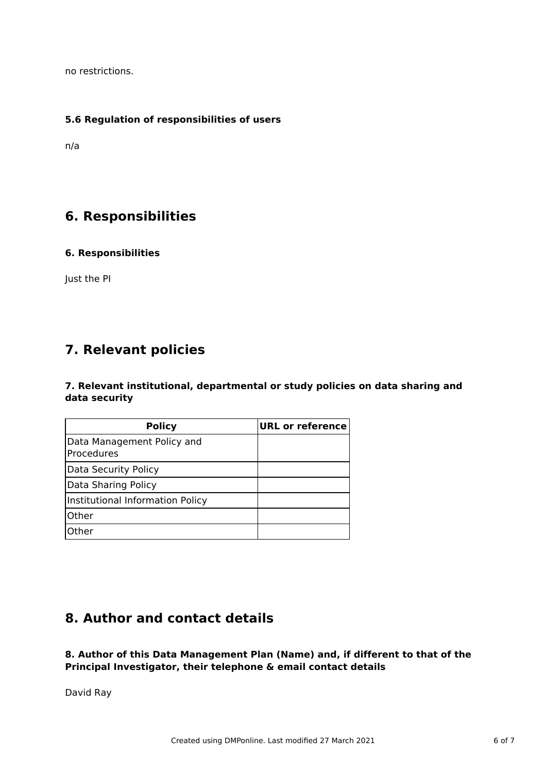no restrictions.

#### **5.6 Regulation of responsibilities of users**

n/a

### **6. Responsibilities**

#### **6. Responsibilities**

Just the PI

### **7. Relevant policies**

**7. Relevant institutional, departmental or study policies on data sharing and data security**

| <b>Policy</b>                            | <b>URL or reference</b> |
|------------------------------------------|-------------------------|
| Data Management Policy and<br>Procedures |                         |
| Data Security Policy                     |                         |
| Data Sharing Policy                      |                         |
| Institutional Information Policy         |                         |
| <b>Other</b>                             |                         |
| Other                                    |                         |

### **8. Author and contact details**

**8. Author of this Data Management Plan (Name) and, if different to that of the Principal Investigator, their telephone & email contact details**

David Ray